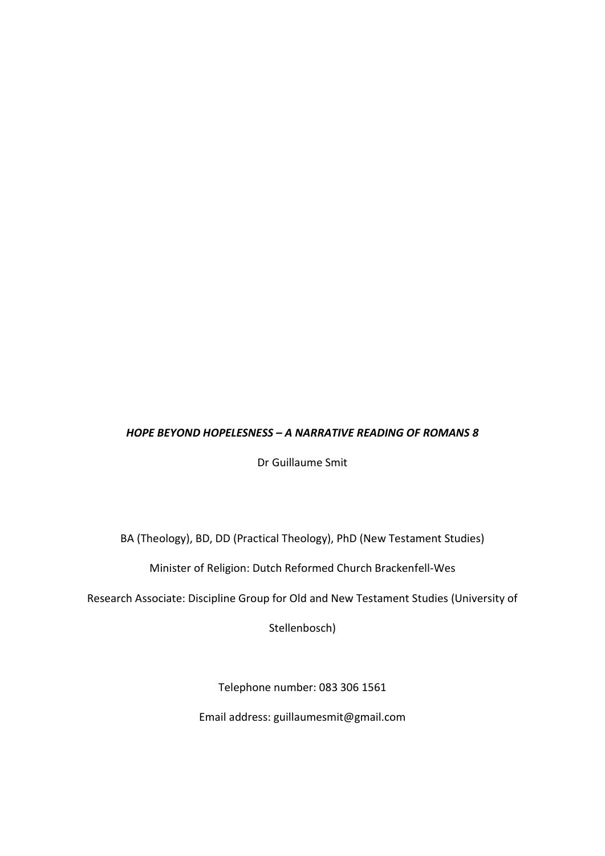### HOPE BEYOND HOPELESNESS – A NARRATIVE READING OF ROMANS 8

Dr Guillaume Smit

BA (Theology), BD, DD (Practical Theology), PhD (New Testament Studies)

Minister of Religion: Dutch Reformed Church Brackenfell-Wes

Research Associate: Discipline Group for Old and New Testament Studies (University of

Stellenbosch)

Telephone number: 083 306 1561

Email address: guillaumesmit@gmail.com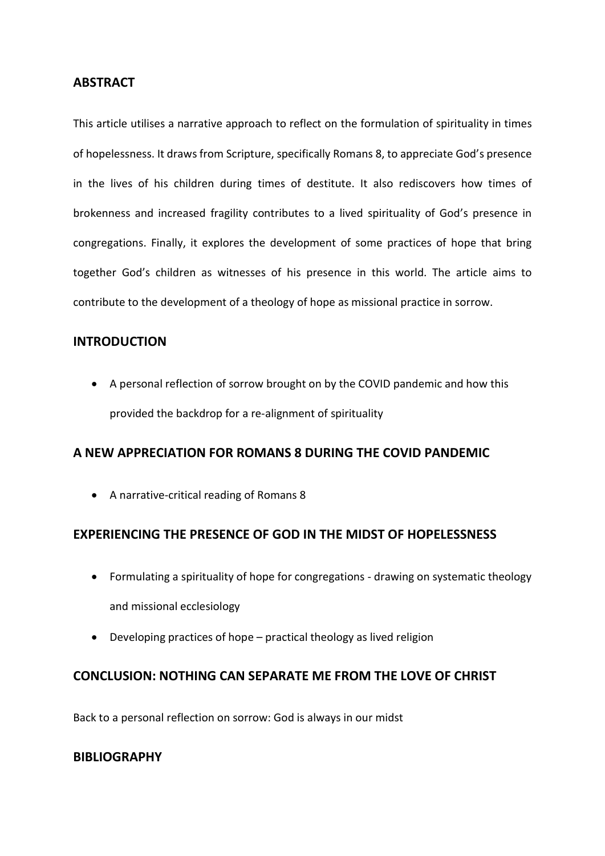### ABSTRACT

This article utilises a narrative approach to reflect on the formulation of spirituality in times of hopelessness. It draws from Scripture, specifically Romans 8, to appreciate God's presence in the lives of his children during times of destitute. It also rediscovers how times of brokenness and increased fragility contributes to a lived spirituality of God's presence in congregations. Finally, it explores the development of some practices of hope that bring together God's children as witnesses of his presence in this world. The article aims to contribute to the development of a theology of hope as missional practice in sorrow.

## INTRODUCTION

 A personal reflection of sorrow brought on by the COVID pandemic and how this provided the backdrop for a re-alignment of spirituality

## A NEW APPRECIATION FOR ROMANS 8 DURING THE COVID PANDEMIC

A narrative-critical reading of Romans 8

## EXPERIENCING THE PRESENCE OF GOD IN THE MIDST OF HOPELESSNESS

- Formulating a spirituality of hope for congregations drawing on systematic theology and missional ecclesiology
- Developing practices of hope practical theology as lived religion

# CONCLUSION: NOTHING CAN SEPARATE ME FROM THE LOVE OF CHRIST

Back to a personal reflection on sorrow: God is always in our midst

## BIBLIOGRAPHY